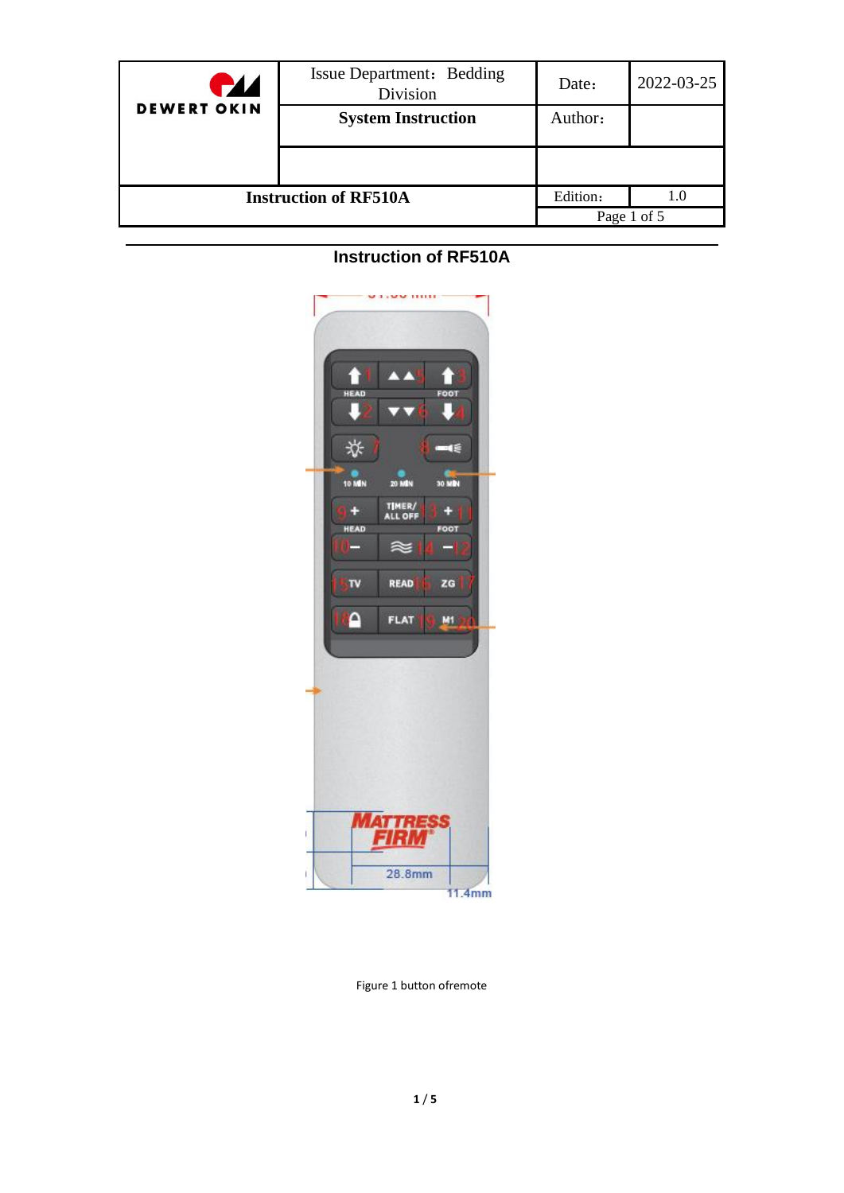| <b>HZ</b>                    | Issue Department: Bedding<br>Division | Date:    | 2022-03-25  |
|------------------------------|---------------------------------------|----------|-------------|
| <b>DEWERT OKIN</b>           | <b>System Instruction</b>             | Author:  |             |
|                              |                                       |          |             |
| <b>Instruction of RF510A</b> |                                       | Edition: | 1.0         |
|                              |                                       |          | Page 1 of 5 |

# **Instruction of RF510A**



Figure 1 button ofremote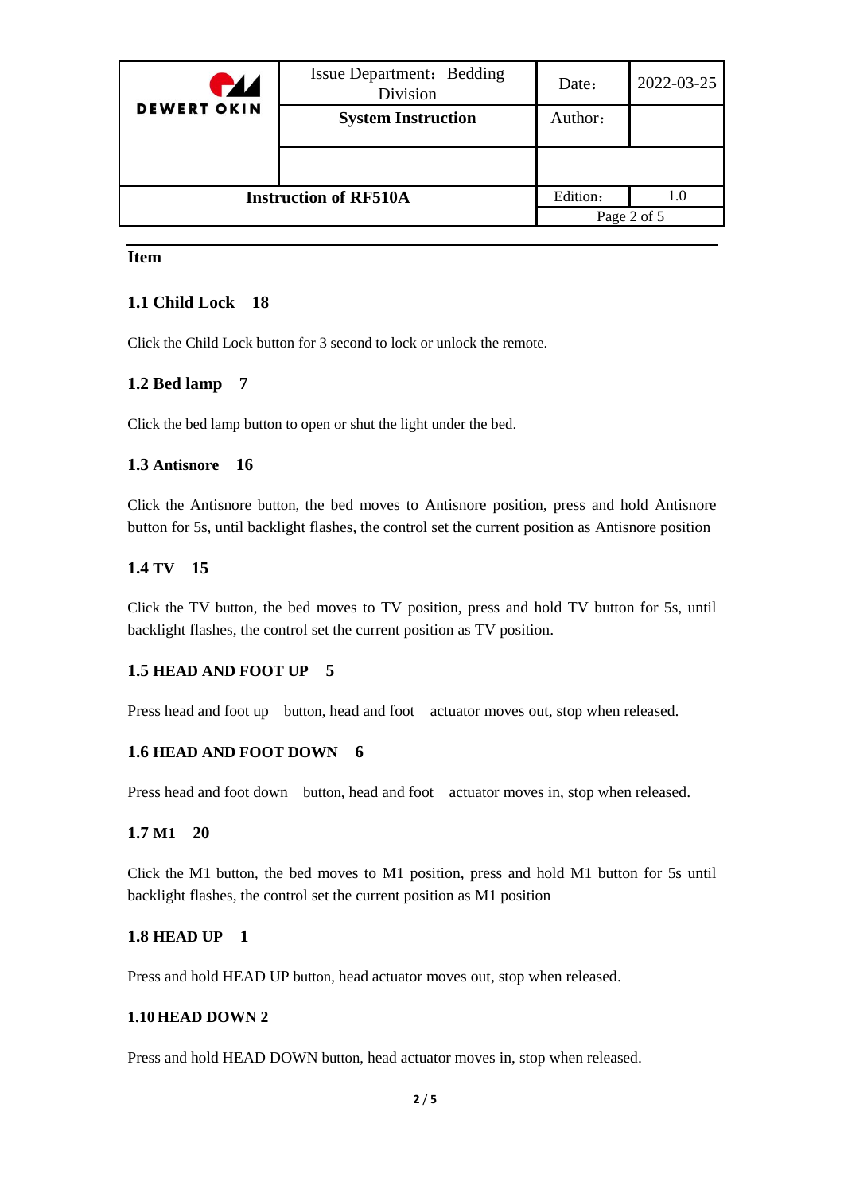| <b>PZ</b>                    | <b>Issue Department: Bedding</b><br>Division | Date:    | 2022-03-25  |
|------------------------------|----------------------------------------------|----------|-------------|
| <b>DEWERT OKIN</b>           | <b>System Instruction</b>                    | Author:  |             |
|                              |                                              |          |             |
| <b>Instruction of RF510A</b> |                                              | Edition: | 1.0         |
|                              |                                              |          | Page 2 of 5 |

### **Item**

### **1.1 Child Lock 18**

Click the Child Lock button for 3 second to lock or unlock the remote.

### **1.2 Bed lamp 7**

Click the bed lamp button to open or shut the light under the bed.

#### **1.3 Antisnore 16**

Click the Antisnore button, the bed moves to Antisnore position, press and hold Antisnore button for 5s, until backlight flashes, the control set the current position as Antisnore position

#### **1.4 TV 15**

Click the TV button, the bed moves to TV position, press and hold TV button for 5s, until backlight flashes, the control set the current position as TV position.

#### **1.5 HEAD AND FOOT UP 5**

Press head and foot up button, head and foot actuator moves out, stop when released.

#### **1.6 HEAD AND FOOT DOWN 6**

Press head and foot down button, head and foot actuator moves in, stop when released.

### **1.7 M1 20**

Click the M1 button, the bed moves to M1 position, press and hold M1 button for 5s until backlight flashes, the control set the current position as M1 position

#### **1.8 HEAD UP 1**

Press and hold HEAD UP button, head actuator moves out, stop when released.

#### **1.10HEAD DOWN 2**

Press and hold HEAD DOWN button, head actuator moves in, stop when released.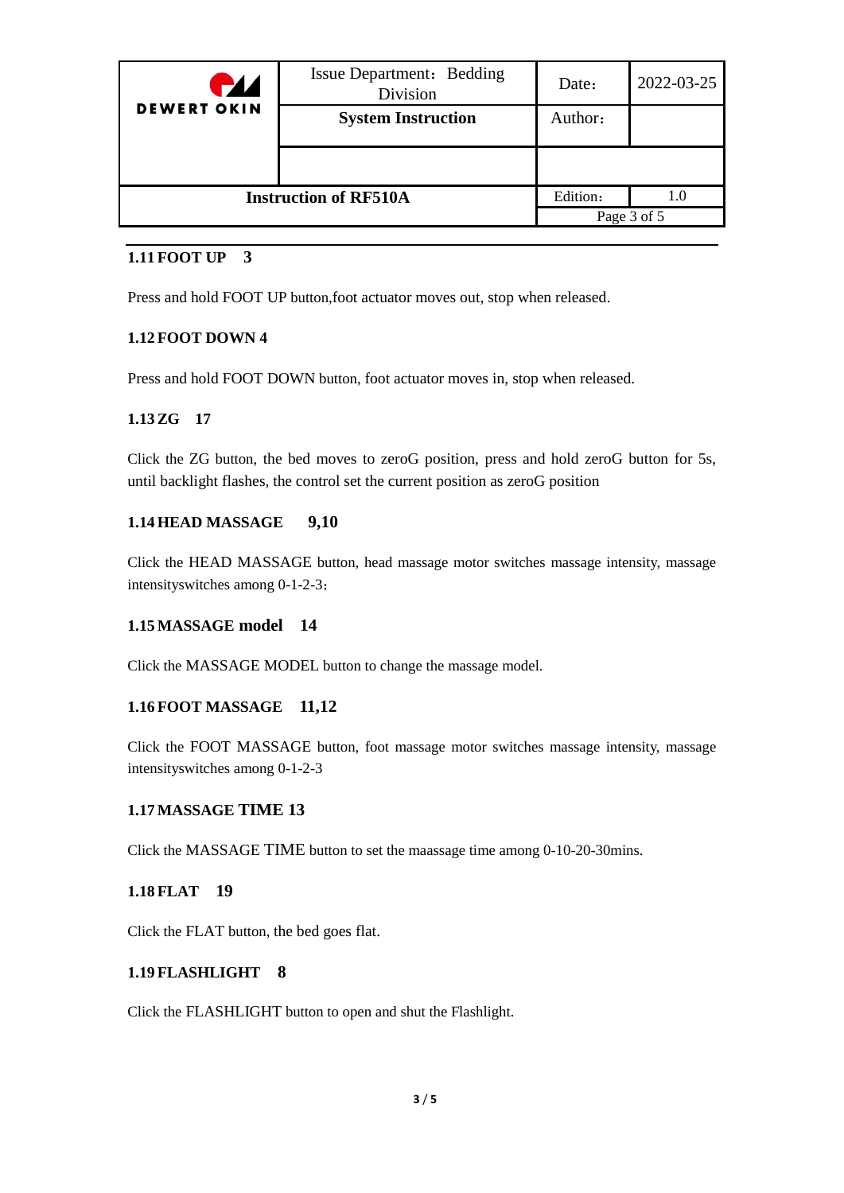| <b>HZ</b>                    | <b>Issue Department: Bedding</b><br>Division | Date:    | 2022-03-25  |
|------------------------------|----------------------------------------------|----------|-------------|
| <b>DEWERT OKIN</b>           | <b>System Instruction</b>                    | Author:  |             |
|                              |                                              |          |             |
| <b>Instruction of RF510A</b> |                                              | Edition: |             |
|                              |                                              |          | Page 3 of 5 |

## **1.11FOOT UP 3**

Press and hold FOOT UP button,foot actuator moves out, stop when released.

### **1.12FOOT DOWN 4**

Press and hold FOOT DOWN button, foot actuator moves in, stop when released.

### **1.13ZG 17**

Click the ZG button, the bed moves to zeroG position, press and hold zeroG button for 5s, until backlight flashes, the control set the current position as zeroG position

### **1.14HEAD MASSAGE 9,10**

Click the HEAD MASSAGE button, head massage motor switches massage intensity, massage intensityswitches among 0-1-2-3;

### **1.15MASSAGE model 14**

Click the MASSAGE MODEL button to change the massage model.

### **1.16FOOT MASSAGE 11,12**

Click the FOOT MASSAGE button, foot massage motor switches massage intensity, massage intensityswitches among 0-1-2-3

### **1.17MASSAGE TIME 13**

Click the MASSAGE TIME button to set the maassage time among 0-10-20-30mins.

### **1.18FLAT 19**

Click the FLAT button, the bed goes flat.

### **1.19FLASHLIGHT 8**

Click the FLASHLIGHT button to open and shut the Flashlight.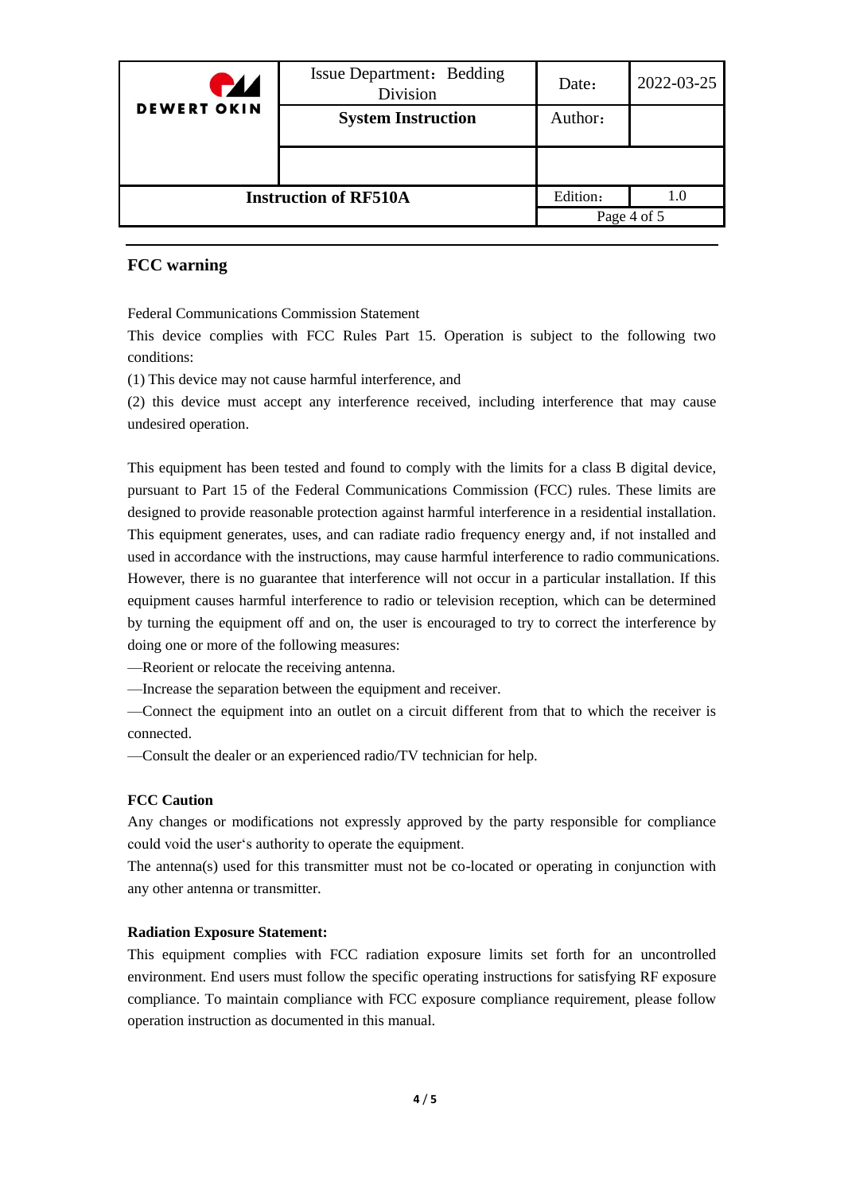| PZZ                          | Issue Department: Bedding<br>Division | Date:    | 2022-03-25  |
|------------------------------|---------------------------------------|----------|-------------|
| <b>DEWERT OKIN</b>           | <b>System Instruction</b>             | Author:  |             |
|                              |                                       |          |             |
| <b>Instruction of RF510A</b> |                                       | Edition: | 1.0         |
|                              |                                       |          | Page 4 of 5 |

#### **FCC warning**

Federal Communications Commission Statement

This device complies with FCC Rules Part 15. Operation is subject to the following two conditions:

(1) This device may not cause harmful interference, and

(2) this device must accept any interference received, including interference that may cause undesired operation.

This equipment has been tested and found to comply with the limits for a class B digital device, pursuant to Part 15 of the Federal Communications Commission (FCC) rules. These limits are designed to provide reasonable protection against harmful interference in a residential installation. This equipment generates, uses, and can radiate radio frequency energy and, if not installed and used in accordance with the instructions, may cause harmful interference to radio communications. However, there is no guarantee that interference will not occur in a particular installation. If this equipment causes harmful interference to radio or television reception, which can be determined by turning the equipment off and on, the user is encouraged to try to correct the interference by doing one or more of the following measures:

—Reorient or relocate the receiving antenna.

—Increase the separation between the equipment and receiver.

—Connect the equipment into an outlet on a circuit different from that to which the receiver is connected.

—Consult the dealer or an experienced radio/TV technician for help.

#### **FCC Caution**

Any changes or modifications not expressly approved by the party responsible for compliance could void the user's authority to operate the equipment.

The antenna(s) used for this transmitter must not be co-located or operating in conjunction with any other antenna or transmitter.

#### **Radiation Exposure Statement:**

This equipment complies with FCC radiation exposure limits set forth for an uncontrolled environment. End users must follow the specific operating instructions for satisfying RF exposure compliance. To maintain compliance with FCC exposure compliance requirement, please follow operation instruction as documented in this manual.